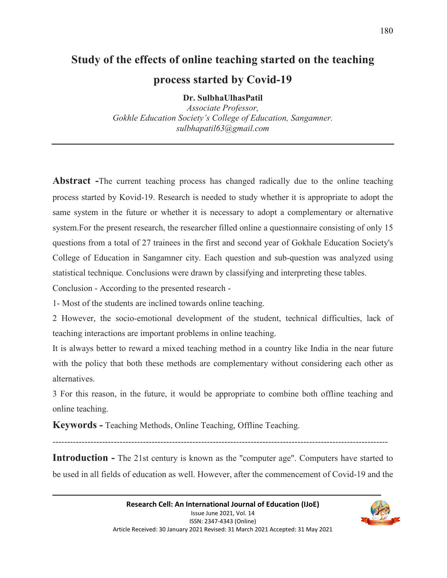# **Study of the effects of online teaching started on the teaching process started by Covid-19**

**Dr. SulbhaUlhasPatil** 

*Associate Professor, Gokhle Education Society's College of Education, Sangamner. sulbhapatil63@gmail.com* 

**Abstract -**The current teaching process has changed radically due to the online teaching process started by Kovid-19. Research is needed to study whether it is appropriate to adopt the same system in the future or whether it is necessary to adopt a complementary or alternative system.For the present research, the researcher filled online a questionnaire consisting of only 15 questions from a total of 27 trainees in the first and second year of Gokhale Education Society's College of Education in Sangamner city. Each question and sub-question was analyzed using statistical technique. Conclusions were drawn by classifying and interpreting these tables.

Conclusion - According to the presented research -

1- Most of the students are inclined towards online teaching.

2 However, the socio-emotional development of the student, technical difficulties, lack of teaching interactions are important problems in online teaching.

It is always better to reward a mixed teaching method in a country like India in the near future with the policy that both these methods are complementary without considering each other as alternatives.

3 For this reason, in the future, it would be appropriate to combine both offline teaching and online teaching.

**Keywords -** Teaching Methods, Online Teaching, Offline Teaching.

-------------------------------------------------------------------------------------------------------------------

**Introduction -** The 21st century is known as the "computer age". Computers have started to be used in all fields of education as well. However, after the commencement of Covid-19 and the

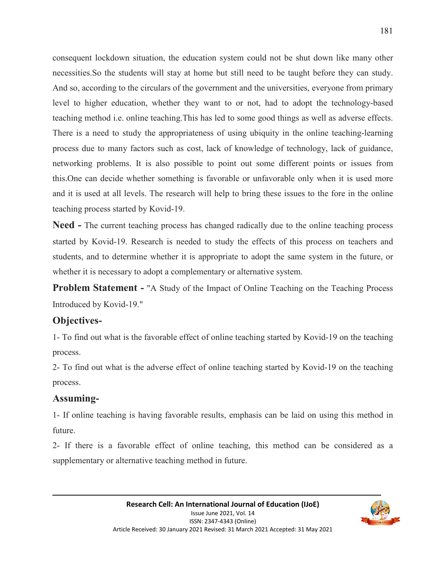consequent lockdown situation, the education system could not be shut down like many other necessities.So the students will stay at home but still need to be taught before they can study. And so, according to the circulars of the government and the universities, everyone from primary level to higher education, whether they want to or not, had to adopt the technology-based teaching method i.e. online teaching.This has led to some good things as well as adverse effects. There is a need to study the appropriateness of using ubiquity in the online teaching-learning process due to many factors such as cost, lack of knowledge of technology, lack of guidance, networking problems. It is also possible to point out some different points or issues from this.One can decide whether something is favorable or unfavorable only when it is used more and it is used at all levels. The research will help to bring these issues to the fore in the online teaching process started by Kovid-19.

**Need -** The current teaching process has changed radically due to the online teaching process started by Kovid-19. Research is needed to study the effects of this process on teachers and students, and to determine whether it is appropriate to adopt the same system in the future, or whether it is necessary to adopt a complementary or alternative system.

**Problem Statement -** "A Study of the Impact of Online Teaching on the Teaching Process Introduced by Kovid-19."

#### **Objectives-**

1- To find out what is the favorable effect of online teaching started by Kovid-19 on the teaching process.

2- To find out what is the adverse effect of online teaching started by Kovid-19 on the teaching process.

#### **Assuming-**

1- If online teaching is having favorable results, emphasis can be laid on using this method in future.

2- If there is a favorable effect of online teaching, this method can be considered as a supplementary or alternative teaching method in future.

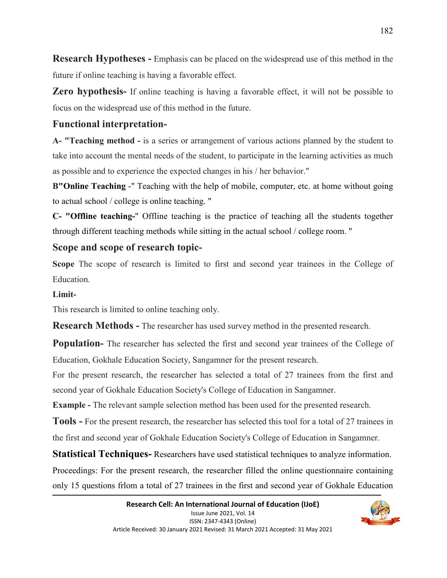**Research Hypotheses -** Emphasis can be placed on the widespread use of this method in the future if online teaching is having a favorable effect.

**Zero hypothesis-** If online teaching is having a favorable effect, it will not be possible to focus on the widespread use of this method in the future.

## **Functional interpretation-**

**A- "Teaching method -** is a series or arrangement of various actions planned by the student to take into account the mental needs of the student, to participate in the learning activities as much as possible and to experience the expected changes in his / her behavior."

**B"Online Teaching** -" Teaching with the help of mobile, computer, etc. at home without going to actual school / college is online teaching. "

**C- "Offline teaching-**" Offline teaching is the practice of teaching all the students together through different teaching methods while sitting in the actual school / college room. "

## **Scope and scope of research topic-**

**Scope** The scope of research is limited to first and second year trainees in the College of Education.

### **Limit-**

This research is limited to online teaching only.

**Research Methods -** The researcher has used survey method in the presented research.

**Population-** The researcher has selected the first and second year trainees of the College of Education, Gokhale Education Society, Sangamner for the present research.

For the present research, the researcher has selected a total of 27 trainees from the first and second year of Gokhale Education Society's College of Education in Sangamner.

**Example -** The relevant sample selection method has been used for the presented research.

**Tools -** For the present research, the researcher has selected this tool for a total of 27 trainees in the first and second year of Gokhale Education Society's College of Education in Sangamner.

**Statistical Techniques-** Researchers have used statistical techniques to analyze information.

Proceedings: For the present research, the researcher filled the online questionnaire containing only 15 questions frlom a total of 27 trainees in the first and second year of Gokhale Education

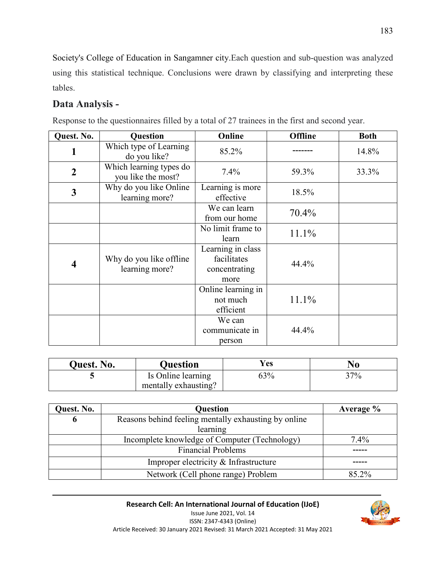Society's College of Education in Sangamner city.Each question and sub-question was analyzed using this statistical technique. Conclusions were drawn by classifying and interpreting these tables.

# **Data Analysis -**

| Quest. No.              | Question                                      | Online                                                    | <b>Offline</b> | <b>Both</b> |
|-------------------------|-----------------------------------------------|-----------------------------------------------------------|----------------|-------------|
|                         | Which type of Learning<br>do you like?        | 85.2%                                                     |                | 14.8%       |
| $\overline{2}$          | Which learning types do<br>you like the most? | 7.4%                                                      | 59.3%          | 33.3%       |
| 3                       | Why do you like Online<br>learning more?      | Learning is more<br>effective                             | 18.5%          |             |
|                         |                                               | We can learn<br>from our home                             | 70.4%          |             |
|                         |                                               | No limit frame to<br>learn                                | 11.1%          |             |
| $\overline{\mathbf{4}}$ | Why do you like offline<br>learning more?     | Learning in class<br>facilitates<br>concentrating<br>more | 44.4%          |             |
|                         |                                               | Online learning in<br>not much<br>efficient               | 11.1%          |             |
|                         |                                               | We can<br>communicate in<br>person                        | 44.4%          |             |

Response to the questionnaires filled by a total of 27 trainees in the first and second year.

| <b>Quest. No.</b> | Ouestion             | Yes | No  |
|-------------------|----------------------|-----|-----|
|                   | Is Online learning   | 63% | 37% |
|                   | mentally exhausting? |     |     |

| Quest. No. | <b>Question</b>                                      | Average % |
|------------|------------------------------------------------------|-----------|
| 6          | Reasons behind feeling mentally exhausting by online |           |
|            | learning                                             |           |
|            | Incomplete knowledge of Computer (Technology)        | 7.4%      |
|            | <b>Financial Problems</b>                            |           |
|            | Improper electricity & Infrastructure                |           |
|            | Network (Cell phone range) Problem                   | 85.2%     |

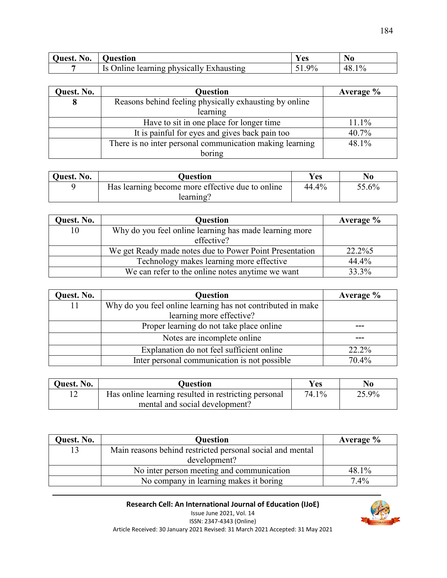| 111 Act<br>est. No. | Juestion                                                | <b>Y</b> es | N0                  |
|---------------------|---------------------------------------------------------|-------------|---------------------|
|                     | learning physically Exhausting<br>Jnline.<br>I C<br>15. | 9%          | $\frac{0}{0}$<br>48 |

| Quest. No. | Question                                                 | Average % |
|------------|----------------------------------------------------------|-----------|
|            | Reasons behind feeling physically exhausting by online   |           |
|            | learning                                                 |           |
|            | Have to sit in one place for longer time                 | 11.1%     |
|            | It is painful for eyes and gives back pain too           | 40.7%     |
|            | There is no inter personal communication making learning | 48.1%     |
|            | boring                                                   |           |

| Quest. No. | Ouestion                                         | <b>Yes</b> | No    |
|------------|--------------------------------------------------|------------|-------|
|            | Has learning become more effective due to online | 44.4%      | 55.6% |
|            | learning?                                        |            |       |

| Quest. No. | <b>Question</b>                                         | Average $\%$ |
|------------|---------------------------------------------------------|--------------|
| 10         | Why do you feel online learning has made learning more  |              |
|            | effective?                                              |              |
|            | We get Ready made notes due to Power Point Presentation | 22.2%5       |
|            | Technology makes learning more effective                | 44.4%        |
|            | We can refer to the online notes anytime we want        | 33.3%        |

| Quest. No. | <b>Question</b>                                             | Average % |
|------------|-------------------------------------------------------------|-----------|
|            | Why do you feel online learning has not contributed in make |           |
|            | learning more effective?                                    |           |
|            | Proper learning do not take place online                    |           |
|            | Notes are incomplete online                                 |           |
|            | Explanation do not feel sufficient online                   | 22.2%     |
|            | Inter personal communication is not possible                | 70.4%     |

| Quest. No. | Ouestion                                             | Yes   | No    |
|------------|------------------------------------------------------|-------|-------|
|            | Has online learning resulted in restricting personal | 74.1% | 25.9% |
|            | mental and social development?                       |       |       |

| Quest. No. | <b>Question</b>                                           | Average % |
|------------|-----------------------------------------------------------|-----------|
|            | Main reasons behind restricted personal social and mental |           |
|            | development?                                              |           |
|            | No inter person meeting and communication                 | 48.1%     |
|            | No company in learning makes it boring                    | 7.4%      |

**Research Cell: An International Journal of Education (IJoE)**  Issue June 2021, Vol. 14 ISSN: 2347-4343 (Online) Article Received: 30 January 2021 Revised: 31 March 2021 Accepted: 31 May 2021

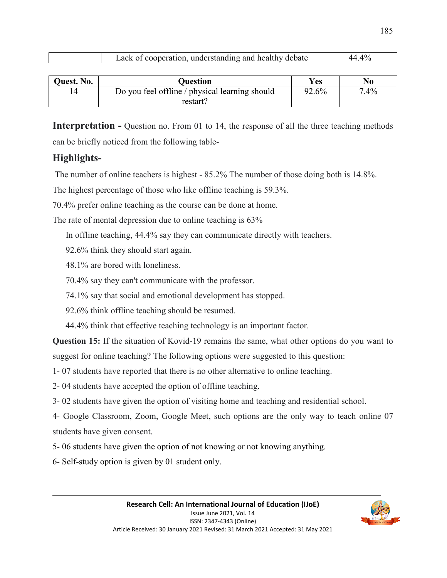| understanding and health<br>debate<br>nei |
|-------------------------------------------|
|-------------------------------------------|

| Quest. No. | Ouestion                                       | <b>Yes</b> | N <sub>0</sub> |
|------------|------------------------------------------------|------------|----------------|
|            | Do you feel offline / physical learning should | 92.6%      | $7.4\%$        |
|            | restart?                                       |            |                |

**Interpretation -** Question no. From 01 to 14, the response of all the three teaching methods can be briefly noticed from the following table-

# **Highlights-**

The number of online teachers is highest - 85.2% The number of those doing both is 14.8%.

The highest percentage of those who like offline teaching is 59.3%.

70.4% prefer online teaching as the course can be done at home.

The rate of mental depression due to online teaching is 63%

In offline teaching, 44.4% say they can communicate directly with teachers.

92.6% think they should start again.

48.1% are bored with loneliness.

70.4% say they can't communicate with the professor.

74.1% say that social and emotional development has stopped.

92.6% think offline teaching should be resumed.

44.4% think that effective teaching technology is an important factor.

**Question 15:** If the situation of Kovid-19 remains the same, what other options do you want to suggest for online teaching? The following options were suggested to this question:

1- 07 students have reported that there is no other alternative to online teaching.

2- 04 students have accepted the option of offline teaching.

3- 02 students have given the option of visiting home and teaching and residential school.

4- Google Classroom, Zoom, Google Meet, such options are the only way to teach online 07 students have given consent.

5- 06 students have given the option of not knowing or not knowing anything.

6- Self-study option is given by 01 student only.